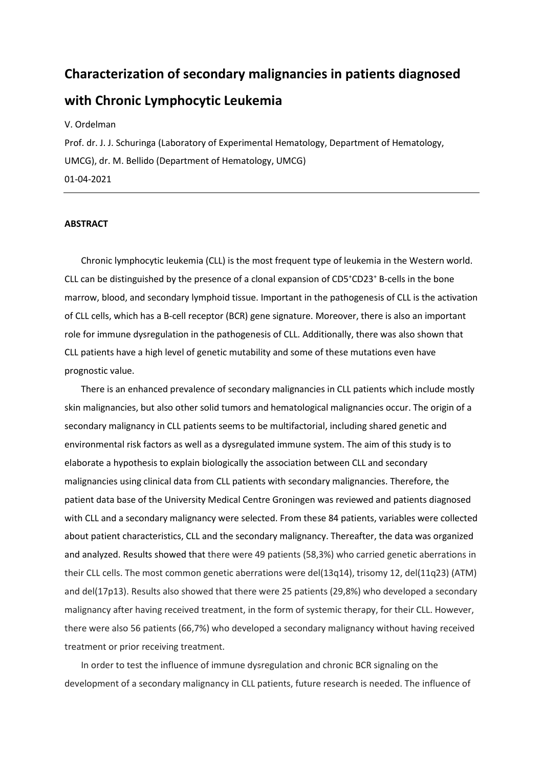# **Characterization of secondary malignancies in patients diagnosed with Chronic Lymphocytic Leukemia**

V. Ordelman

Prof. dr. J. J. Schuringa (Laboratory of Experimental Hematology, Department of Hematology, UMCG), dr. M. Bellido (Department of Hematology, UMCG) 01-04-2021

#### **ABSTRACT**

Chronic lymphocytic leukemia (CLL) is the most frequent type of leukemia in the Western world. CLL can be distinguished by the presence of a clonal expansion of CD5<sup>+</sup>CD23<sup>+</sup> B-cells in the bone marrow, blood, and secondary lymphoid tissue. Important in the pathogenesis of CLL is the activation of CLL cells, which has a B-cell receptor (BCR) gene signature. Moreover, there is also an important role for immune dysregulation in the pathogenesis of CLL. Additionally, there was also shown that CLL patients have a high level of genetic mutability and some of these mutations even have prognostic value.

There is an enhanced prevalence of secondary malignancies in CLL patients which include mostly skin malignancies, but also other solid tumors and hematological malignancies occur. The origin of a secondary malignancy in CLL patients seems to be multifactorial, including shared genetic and environmental risk factors as well as a dysregulated immune system. The aim of this study is to elaborate a hypothesis to explain biologically the association between CLL and secondary malignancies using clinical data from CLL patients with secondary malignancies. Therefore, the patient data base of the University Medical Centre Groningen was reviewed and patients diagnosed with CLL and a secondary malignancy were selected. From these 84 patients, variables were collected about patient characteristics, CLL and the secondary malignancy. Thereafter, the data was organized and analyzed. Results showed that there were 49 patients (58,3%) who carried genetic aberrations in their CLL cells. The most common genetic aberrations were del(13q14), trisomy 12, del(11q23) (ATM) and del(17p13). Results also showed that there were 25 patients (29,8%) who developed a secondary malignancy after having received treatment, in the form of systemic therapy, for their CLL. However, there were also 56 patients (66,7%) who developed a secondary malignancy without having received treatment or prior receiving treatment.

In order to test the influence of immune dysregulation and chronic BCR signaling on the development of a secondary malignancy in CLL patients, future research is needed. The influence of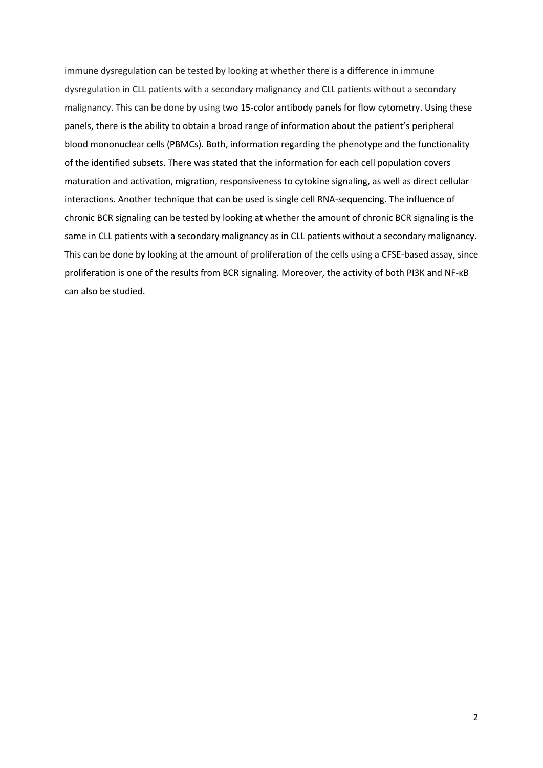immune dysregulation can be tested by looking at whether there is a difference in immune dysregulation in CLL patients with a secondary malignancy and CLL patients without a secondary malignancy. This can be done by using two 15-color antibody panels for flow cytometry. Using these panels, there is the ability to obtain a broad range of information about the patient's peripheral blood mononuclear cells (PBMCs). Both, information regarding the phenotype and the functionality of the identified subsets. There was stated that the information for each cell population covers maturation and activation, migration, responsiveness to cytokine signaling, as well as direct cellular interactions. Another technique that can be used is single cell RNA-sequencing. The influence of chronic BCR signaling can be tested by looking at whether the amount of chronic BCR signaling is the same in CLL patients with a secondary malignancy as in CLL patients without a secondary malignancy. This can be done by looking at the amount of proliferation of the cells using a CFSE-based assay, since proliferation is one of the results from BCR signaling. Moreover, the activity of both PI3K and NF-κB can also be studied.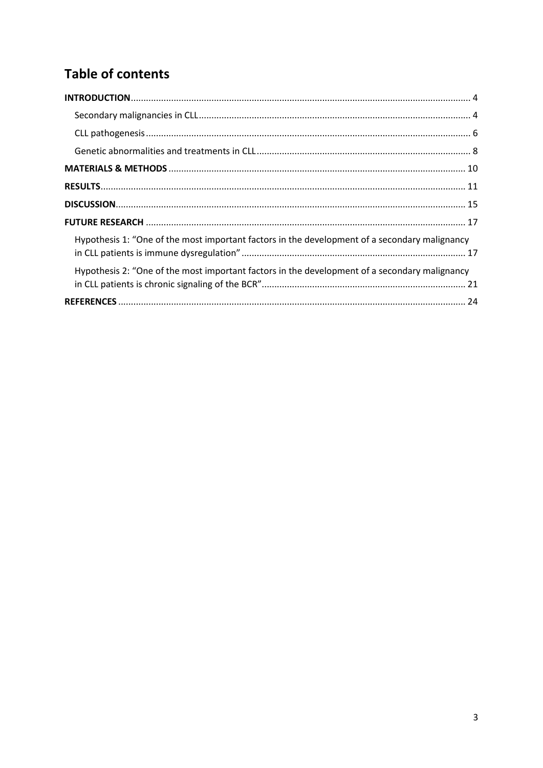## **Table of contents**

| Hypothesis 1: "One of the most important factors in the development of a secondary malignancy |  |
|-----------------------------------------------------------------------------------------------|--|
| Hypothesis 2: "One of the most important factors in the development of a secondary malignancy |  |
|                                                                                               |  |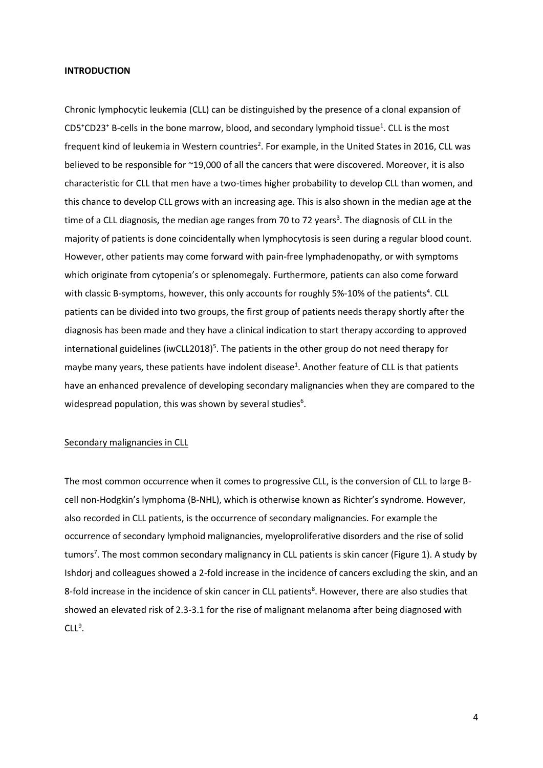#### <span id="page-3-0"></span>**INTRODUCTION**

Chronic lymphocytic leukemia (CLL) can be distinguished by the presence of a clonal expansion of  $CD5+CD23<sup>+</sup>$  B-cells in the bone marrow, blood, and secondary lymphoid tissue<sup>1</sup>. CLL is the most frequent kind of leukemia in Western countries<sup>2</sup>. For example, in the United States in 2016, CLL was believed to be responsible for ~19,000 of all the cancers that were discovered. Moreover, it is also characteristic for CLL that men have a two-times higher probability to develop CLL than women, and this chance to develop CLL grows with an increasing age. This is also shown in the median age at the time of a CLL diagnosis, the median age ranges from 70 to 72 years<sup>3</sup>. The diagnosis of CLL in the majority of patients is done coincidentally when lymphocytosis is seen during a regular blood count. However, other patients may come forward with pain-free lymphadenopathy, or with symptoms which originate from cytopenia's or splenomegaly. Furthermore, patients can also come forward with classic B-symptoms, however, this only accounts for roughly 5%-10% of the patients<sup>4</sup>. CLL patients can be divided into two groups, the first group of patients needs therapy shortly after the diagnosis has been made and they have a clinical indication to start therapy according to approved international guidelines (iwCLL2018)<sup>5</sup>. The patients in the other group do not need therapy for maybe many years, these patients have indolent disease<sup>1</sup>. Another feature of CLL is that patients have an enhanced prevalence of developing secondary malignancies when they are compared to the widespread population, this was shown by several studies<sup>6</sup>.

#### <span id="page-3-1"></span>Secondary malignancies in CLL

The most common occurrence when it comes to progressive CLL, is the conversion of CLL to large Bcell non-Hodgkin's lymphoma (B-NHL), which is otherwise known as Richter's syndrome. However, also recorded in CLL patients, is the occurrence of secondary malignancies. For example the occurrence of secondary lymphoid malignancies, myeloproliferative disorders and the rise of solid tumors<sup>7</sup>. The most common secondary malignancy in CLL patients is skin cancer (Figure 1). A study by Ishdorj and colleagues showed a 2-fold increase in the incidence of cancers excluding the skin, and an 8-fold increase in the incidence of skin cancer in CLL patients<sup>8</sup>. However, there are also studies that showed an elevated risk of 2.3-3.1 for the rise of malignant melanoma after being diagnosed with  $CLL<sup>9</sup>$ .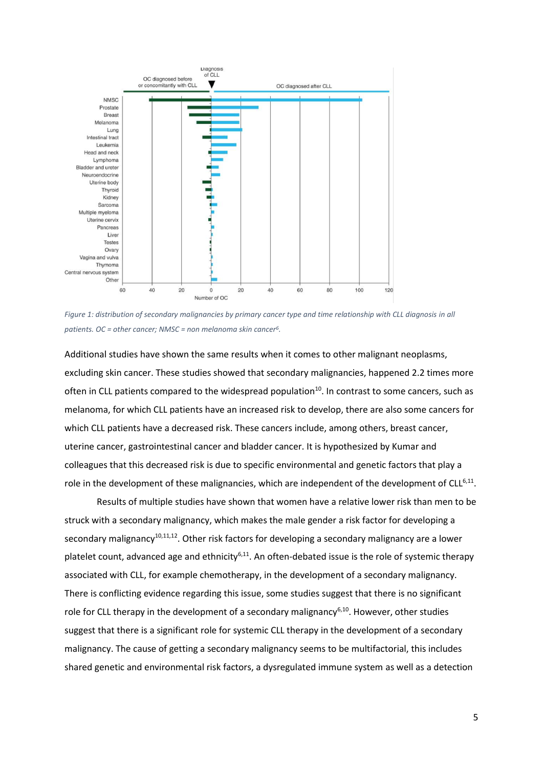

Figure 1: distribution of secondary malignancies by primary cancer type and time relationship with CLL diagnosis in all *patients. OC = other cancer; NMSC = non melanoma skin cancer<sup>6</sup> .*

Additional studies have shown the same results when it comes to other malignant neoplasms, excluding skin cancer. These studies showed that secondary malignancies, happened 2.2 times more often in CLL patients compared to the widespread population<sup>10</sup>. In contrast to some cancers, such as melanoma, for which CLL patients have an increased risk to develop, there are also some cancers for which CLL patients have a decreased risk. These cancers include, among others, breast cancer, uterine cancer, gastrointestinal cancer and bladder cancer. It is hypothesized by Kumar and colleagues that this decreased risk is due to specific environmental and genetic factors that play a role in the development of these malignancies, which are independent of the development of CLL<sup>6,11</sup>.

Results of multiple studies have shown that women have a relative lower risk than men to be struck with a secondary malignancy, which makes the male gender a risk factor for developing a secondary malignancy<sup>10,11,12</sup>. Other risk factors for developing a secondary malignancy are a lower platelet count, advanced age and ethnicity<sup>6,11</sup>. An often-debated issue is the role of systemic therapy associated with CLL, for example chemotherapy, in the development of a secondary malignancy. There is conflicting evidence regarding this issue, some studies suggest that there is no significant role for CLL therapy in the development of a secondary malignancy<sup>6,10</sup>. However, other studies suggest that there is a significant role for systemic CLL therapy in the development of a secondary malignancy. The cause of getting a secondary malignancy seems to be multifactorial, this includes shared genetic and environmental risk factors, a dysregulated immune system as well as a detection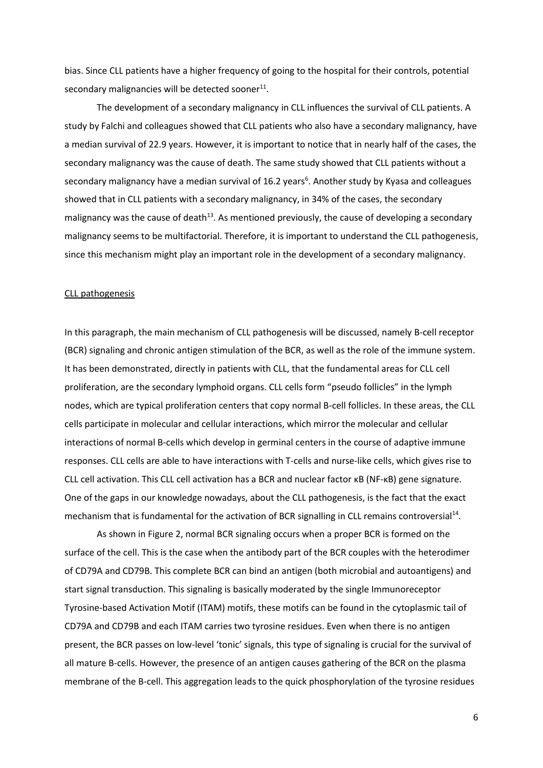bias. Since CLL patients have a higher frequency of going to the hospital for their controls, potential secondary malignancies will be detected sooner $^{11}$ .

The development of a secondary malignancy in CLL influences the survival of CLL patients. A study by Falchi and colleagues showed that CLL patients who also have a secondary malignancy, have a median survival of 22.9 years. However, it is important to notice that in nearly half of the cases, the secondary malignancy was the cause of death. The same study showed that CLL patients without a secondary malignancy have a median survival of 16.2 years<sup>6</sup>. Another study by Kyasa and colleagues showed that in CLL patients with a secondary malignancy, in 34% of the cases, the secondary malignancy was the cause of death<sup>13</sup>. As mentioned previously, the cause of developing a secondary malignancy seems to be multifactorial. Therefore, it is important to understand the CLL pathogenesis, since this mechanism might play an important role in the development of a secondary malignancy.

#### <span id="page-5-0"></span>CLL pathogenesis

In this paragraph, the main mechanism of CLL pathogenesis will be discussed, namely B-cell receptor (BCR) signaling and chronic antigen stimulation of the BCR, as well as the role of the immune system. It has been demonstrated, directly in patients with CLL, that the fundamental areas for CLL cell proliferation, are the secondary lymphoid organs. CLL cells form "pseudo follicles" in the lymph nodes, which are typical proliferation centers that copy normal B-cell follicles. In these areas, the CLL cells participate in molecular and cellular interactions, which mirror the molecular and cellular interactions of normal B-cells which develop in germinal centers in the course of adaptive immune responses. CLL cells are able to have interactions with T-cells and nurse-like cells, which gives rise to CLL cell activation. This CLL cell activation has a BCR and nuclear factor κB (NF-κB) gene signature. One of the gaps in our knowledge nowadays, about the CLL pathogenesis, is the fact that the exact mechanism that is fundamental for the activation of BCR signalling in CLL remains controversial<sup>14</sup>.

As shown in Figure 2, normal BCR signaling occurs when a proper BCR is formed on the surface of the cell. This is the case when the antibody part of the BCR couples with the heterodimer of CD79A and CD79B. This complete BCR can bind an antigen (both microbial and autoantigens) and start signal transduction. This signaling is basically moderated by the single Immunoreceptor Tyrosine-based Activation Motif (ITAM) motifs, these motifs can be found in the cytoplasmic tail of CD79A and CD79B and each ITAM carries two tyrosine residues. Even when there is no antigen present, the BCR passes on low-level 'tonic' signals, this type of signaling is crucial for the survival of all mature B-cells. However, the presence of an antigen causes gathering of the BCR on the plasma membrane of the B-cell. This aggregation leads to the quick phosphorylation of the tyrosine residues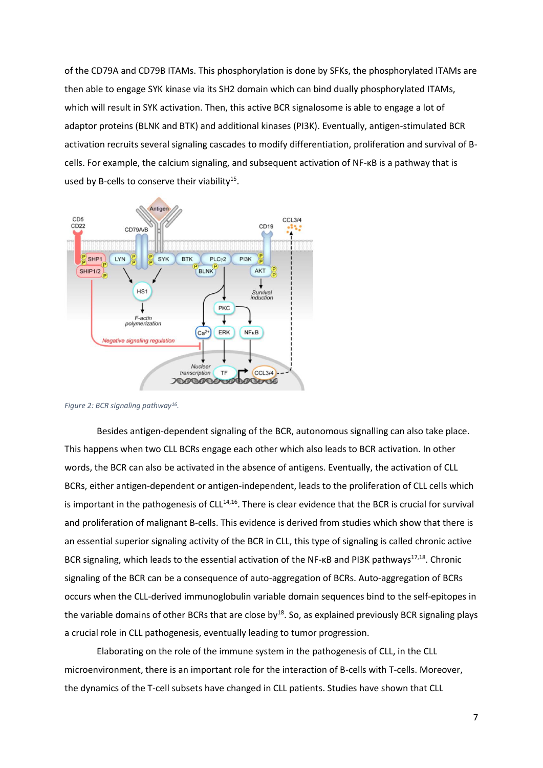of the CD79A and CD79B ITAMs. This phosphorylation is done by SFKs, the phosphorylated ITAMs are then able to engage SYK kinase via its SH2 domain which can bind dually phosphorylated ITAMs, which will result in SYK activation. Then, this active BCR signalosome is able to engage a lot of adaptor proteins (BLNK and BTK) and additional kinases (PI3K). Eventually, antigen-stimulated BCR activation recruits several signaling cascades to modify differentiation, proliferation and survival of Bcells. For example, the calcium signaling, and subsequent activation of NF-κB is a pathway that is used by B-cells to conserve their viability<sup>15</sup>.



*Figure 2: BCR signaling pathway<sup>16</sup> .*

Besides antigen-dependent signaling of the BCR, autonomous signalling can also take place. This happens when two CLL BCRs engage each other which also leads to BCR activation. In other words, the BCR can also be activated in the absence of antigens. Eventually, the activation of CLL BCRs, either antigen-dependent or antigen-independent, leads to the proliferation of CLL cells which is important in the pathogenesis of CLL $14,16$ . There is clear evidence that the BCR is crucial for survival and proliferation of malignant B-cells. This evidence is derived from studies which show that there is an essential superior signaling activity of the BCR in CLL, this type of signaling is called chronic active BCR signaling, which leads to the essential activation of the NF-KB and PI3K pathways<sup>17,18</sup>. Chronic signaling of the BCR can be a consequence of auto-aggregation of BCRs. Auto-aggregation of BCRs occurs when the CLL-derived immunoglobulin variable domain sequences bind to the self-epitopes in the variable domains of other BCRs that are close by<sup>18</sup>. So, as explained previously BCR signaling plays a crucial role in CLL pathogenesis, eventually leading to tumor progression.

Elaborating on the role of the immune system in the pathogenesis of CLL, in the CLL microenvironment, there is an important role for the interaction of B-cells with T-cells. Moreover, the dynamics of the T-cell subsets have changed in CLL patients. Studies have shown that CLL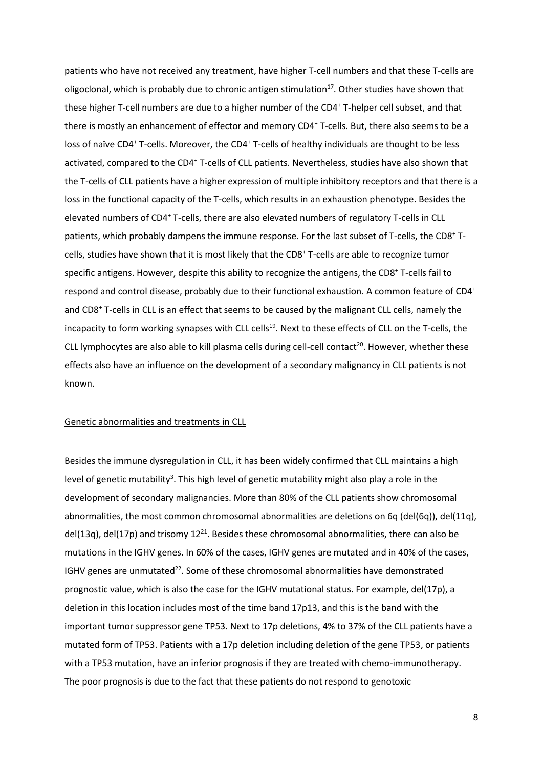patients who have not received any treatment, have higher T-cell numbers and that these T-cells are oligoclonal, which is probably due to chronic antigen stimulation $17$ . Other studies have shown that these higher T-cell numbers are due to a higher number of the CD4<sup>+</sup> T-helper cell subset, and that there is mostly an enhancement of effector and memory CD4<sup>+</sup> T-cells. But, there also seems to be a loss of naïve CD4<sup>+</sup> T-cells. Moreover, the CD4<sup>+</sup> T-cells of healthy individuals are thought to be less activated, compared to the CD4<sup>+</sup> T-cells of CLL patients. Nevertheless, studies have also shown that the T-cells of CLL patients have a higher expression of multiple inhibitory receptors and that there is a loss in the functional capacity of the T-cells, which results in an exhaustion phenotype. Besides the elevated numbers of CD4<sup>+</sup> T-cells, there are also elevated numbers of regulatory T-cells in CLL patients, which probably dampens the immune response. For the last subset of T-cells, the CD8<sup>+</sup> Tcells, studies have shown that it is most likely that the CD8<sup>+</sup> T-cells are able to recognize tumor specific antigens. However, despite this ability to recognize the antigens, the CD8<sup>+</sup> T-cells fail to respond and control disease, probably due to their functional exhaustion. A common feature of CD4<sup>+</sup> and CD8<sup>+</sup> T-cells in CLL is an effect that seems to be caused by the malignant CLL cells, namely the incapacity to form working synapses with CLL cells<sup>19</sup>. Next to these effects of CLL on the T-cells, the CLL lymphocytes are also able to kill plasma cells during cell-cell contact<sup>20</sup>. However, whether these effects also have an influence on the development of a secondary malignancy in CLL patients is not known.

#### <span id="page-7-0"></span>Genetic abnormalities and treatments in CLL

Besides the immune dysregulation in CLL, it has been widely confirmed that CLL maintains a high level of genetic mutability<sup>3</sup>. This high level of genetic mutability might also play a role in the development of secondary malignancies. More than 80% of the CLL patients show chromosomal abnormalities, the most common chromosomal abnormalities are deletions on 6q (del(6q)), del(11q), del(13q), del(17p) and trisomy  $12^{21}$ . Besides these chromosomal abnormalities, there can also be mutations in the IGHV genes. In 60% of the cases, IGHV genes are mutated and in 40% of the cases, IGHV genes are unmutated $^{22}$ . Some of these chromosomal abnormalities have demonstrated prognostic value, which is also the case for the IGHV mutational status. For example, del(17p), a deletion in this location includes most of the time band 17p13, and this is the band with the important tumor suppressor gene TP53. Next to 17p deletions, 4% to 37% of the CLL patients have a mutated form of TP53. Patients with a 17p deletion including deletion of the gene TP53, or patients with a TP53 mutation, have an inferior prognosis if they are treated with chemo-immunotherapy. The poor prognosis is due to the fact that these patients do not respond to genotoxic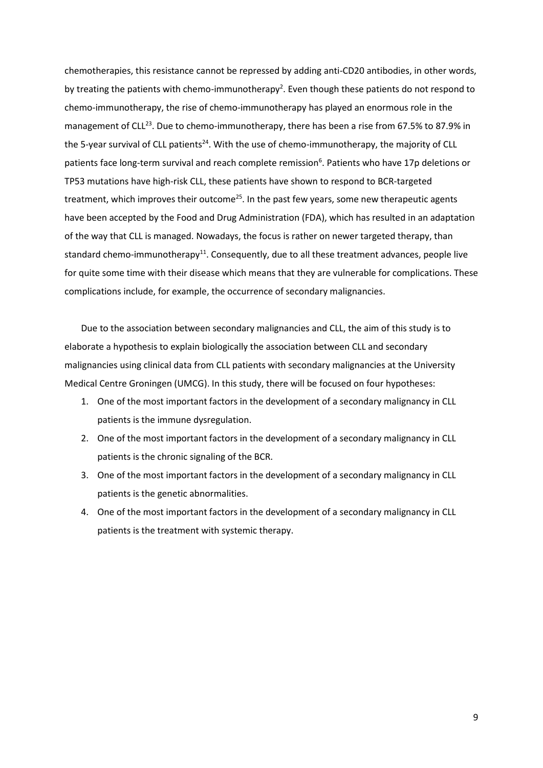chemotherapies, this resistance cannot be repressed by adding anti-CD20 antibodies, in other words, by treating the patients with chemo-immunotherapy<sup>2</sup>. Even though these patients do not respond to chemo-immunotherapy, the rise of chemo-immunotherapy has played an enormous role in the management of CLL<sup>23</sup>. Due to chemo-immunotherapy, there has been a rise from 67.5% to 87.9% in the 5-year survival of CLL patients<sup>24</sup>. With the use of chemo-immunotherapy, the majority of CLL patients face long-term survival and reach complete remission<sup>6</sup>. Patients who have 17p deletions or TP53 mutations have high-risk CLL, these patients have shown to respond to BCR-targeted treatment, which improves their outcome<sup>25</sup>. In the past few years, some new therapeutic agents have been accepted by the Food and Drug Administration (FDA), which has resulted in an adaptation of the way that CLL is managed. Nowadays, the focus is rather on newer targeted therapy, than standard chemo-immunotherapy<sup>11</sup>. Consequently, due to all these treatment advances, people live for quite some time with their disease which means that they are vulnerable for complications. These complications include, for example, the occurrence of secondary malignancies.

Due to the association between secondary malignancies and CLL, the aim of this study is to elaborate a hypothesis to explain biologically the association between CLL and secondary malignancies using clinical data from CLL patients with secondary malignancies at the University Medical Centre Groningen (UMCG). In this study, there will be focused on four hypotheses:

- 1. One of the most important factors in the development of a secondary malignancy in CLL patients is the immune dysregulation.
- 2. One of the most important factors in the development of a secondary malignancy in CLL patients is the chronic signaling of the BCR.
- 3. One of the most important factors in the development of a secondary malignancy in CLL patients is the genetic abnormalities.
- 4. One of the most important factors in the development of a secondary malignancy in CLL patients is the treatment with systemic therapy.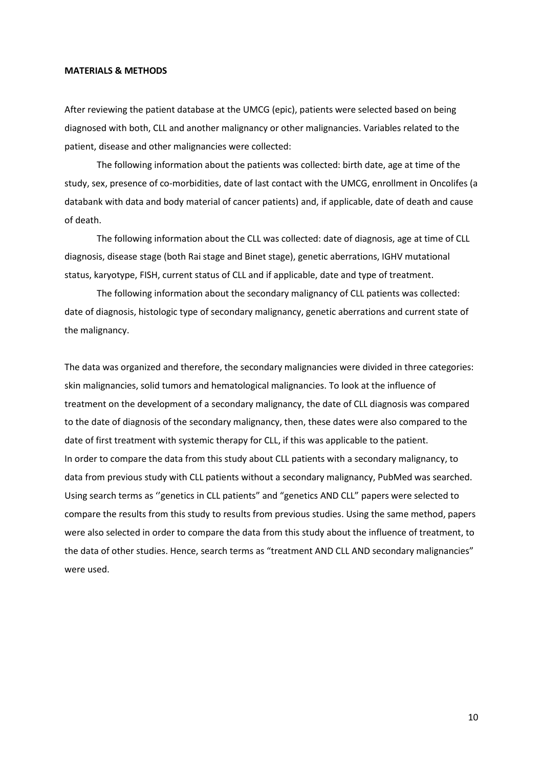#### <span id="page-9-0"></span>**MATERIALS & METHODS**

After reviewing the patient database at the UMCG (epic), patients were selected based on being diagnosed with both, CLL and another malignancy or other malignancies. Variables related to the patient, disease and other malignancies were collected:

The following information about the patients was collected: birth date, age at time of the study, sex, presence of co-morbidities, date of last contact with the UMCG, enrollment in Oncolifes (a databank with data and body material of cancer patients) and, if applicable, date of death and cause of death.

The following information about the CLL was collected: date of diagnosis, age at time of CLL diagnosis, disease stage (both Rai stage and Binet stage), genetic aberrations, IGHV mutational status, karyotype, FISH, current status of CLL and if applicable, date and type of treatment.

The following information about the secondary malignancy of CLL patients was collected: date of diagnosis, histologic type of secondary malignancy, genetic aberrations and current state of the malignancy.

The data was organized and therefore, the secondary malignancies were divided in three categories: skin malignancies, solid tumors and hematological malignancies. To look at the influence of treatment on the development of a secondary malignancy, the date of CLL diagnosis was compared to the date of diagnosis of the secondary malignancy, then, these dates were also compared to the date of first treatment with systemic therapy for CLL, if this was applicable to the patient. In order to compare the data from this study about CLL patients with a secondary malignancy, to data from previous study with CLL patients without a secondary malignancy, PubMed was searched. Using search terms as ''genetics in CLL patients" and "genetics AND CLL" papers were selected to compare the results from this study to results from previous studies. Using the same method, papers were also selected in order to compare the data from this study about the influence of treatment, to the data of other studies. Hence, search terms as "treatment AND CLL AND secondary malignancies" were used.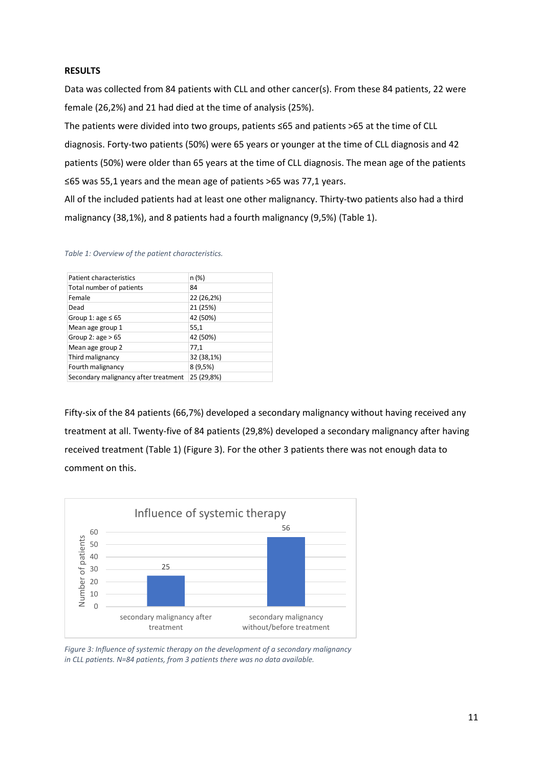### <span id="page-10-0"></span>**RESULTS**

Data was collected from 84 patients with CLL and other cancer(s). From these 84 patients, 22 were female (26,2%) and 21 had died at the time of analysis (25%).

The patients were divided into two groups, patients ≤65 and patients >65 at the time of CLL diagnosis. Forty-two patients (50%) were 65 years or younger at the time of CLL diagnosis and 42 patients (50%) were older than 65 years at the time of CLL diagnosis. The mean age of the patients ≤65 was 55,1 years and the mean age of patients >65 was 77,1 years.

All of the included patients had at least one other malignancy. Thirty-two patients also had a third malignancy (38,1%), and 8 patients had a fourth malignancy (9,5%) (Table 1).

#### *Table 1: Overview of the patient characteristics.*

| Patient characteristics              | n (%)      |
|--------------------------------------|------------|
| Total number of patients             | 84         |
| Female                               | 22 (26,2%) |
| Dead                                 | 21 (25%)   |
| Group 1: age $\leq 65$               | 42 (50%)   |
| Mean age group 1                     | 55,1       |
| Group 2: $age > 65$                  | 42 (50%)   |
| Mean age group 2                     | 77,1       |
| Third malignancy                     | 32 (38,1%) |
| Fourth malignancy                    | 8(9,5%)    |
| Secondary malignancy after treatment | 25 (29,8%) |
|                                      |            |

Fifty-six of the 84 patients (66,7%) developed a secondary malignancy without having received any treatment at all. Twenty-five of 84 patients (29,8%) developed a secondary malignancy after having received treatment (Table 1) (Figure 3). For the other 3 patients there was not enough data to comment on this.



*Figure 3: Influence of systemic therapy on the development of a secondary malignancy in CLL patients. N=84 patients, from 3 patients there was no data available.*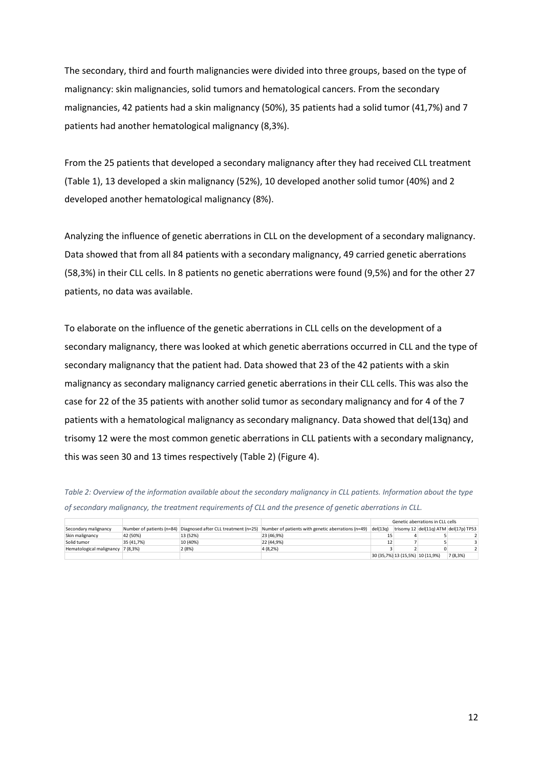The secondary, third and fourth malignancies were divided into three groups, based on the type of malignancy: skin malignancies, solid tumors and hematological cancers. From the secondary malignancies, 42 patients had a skin malignancy (50%), 35 patients had a solid tumor (41,7%) and 7 patients had another hematological malignancy (8,3%).

From the 25 patients that developed a secondary malignancy after they had received CLL treatment (Table 1), 13 developed a skin malignancy (52%), 10 developed another solid tumor (40%) and 2 developed another hematological malignancy (8%).

Analyzing the influence of genetic aberrations in CLL on the development of a secondary malignancy. Data showed that from all 84 patients with a secondary malignancy, 49 carried genetic aberrations (58,3%) in their CLL cells. In 8 patients no genetic aberrations were found (9,5%) and for the other 27 patients, no data was available.

To elaborate on the influence of the genetic aberrations in CLL cells on the development of a secondary malignancy, there was looked at which genetic aberrations occurred in CLL and the type of secondary malignancy that the patient had. Data showed that 23 of the 42 patients with a skin malignancy as secondary malignancy carried genetic aberrations in their CLL cells. This was also the case for 22 of the 35 patients with another solid tumor as secondary malignancy and for 4 of the 7 patients with a hematological malignancy as secondary malignancy. Data showed that del(13q) and trisomy 12 were the most common genetic aberrations in CLL patients with a secondary malignancy, this was seen 30 and 13 times respectively (Table 2) (Figure 4).

*Table 2: Overview of the information available about the secondary malignancy in CLL patients. Information about the type of secondary malignancy, the treatment requirements of CLL and the presence of genetic aberrations in CLL.*

|                          |                           |          |                                                                                         | Genetic aberrations in CLL cells |  |                                       |         |  |
|--------------------------|---------------------------|----------|-----------------------------------------------------------------------------------------|----------------------------------|--|---------------------------------------|---------|--|
| Secondary malignancy     | Number of patients (n=84) |          | Diagnosed after CLL treatment (n=25) Number of patients with genetic aberrations (n=49) | del(13q)                         |  | trisomy 12 del(11g) ATM del(17p) TP53 |         |  |
| Skin malignancy          | 42 (50%)                  | 13 (52%) | 23 (46.9%)                                                                              |                                  |  |                                       |         |  |
| Solid tumor              | 35 (41.7%)                | 10 (40%) | 22 (44.9%)                                                                              |                                  |  |                                       |         |  |
| Hematological malignancy | 7(8.3%)                   | 2(8%)    | 4 (8,2%)                                                                                |                                  |  |                                       |         |  |
|                          |                           |          |                                                                                         |                                  |  | 30 (35,7%) 13 (15,5%) 10 (11,9%)      | 7(8,3%) |  |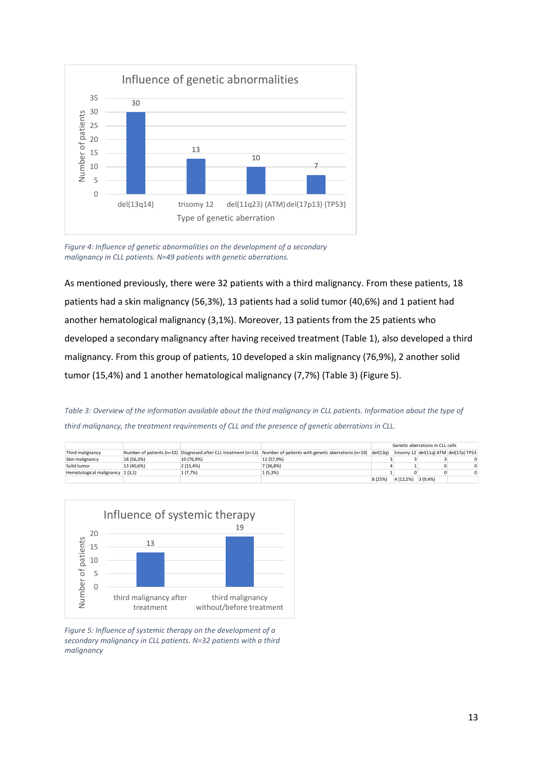

*Figure 4: Influence of genetic abnormalities on the development of a secondary malignancy in CLL patients. N=49 patients with genetic aberrations.* 

As mentioned previously, there were 32 patients with a third malignancy. From these patients, 18 patients had a skin malignancy (56,3%), 13 patients had a solid tumor (40,6%) and 1 patient had another hematological malignancy (3,1%). Moreover, 13 patients from the 25 patients who developed a secondary malignancy after having received treatment (Table 1), also developed a third malignancy. From this group of patients, 10 developed a skin malignancy (76,9%), 2 another solid tumor (15,4%) and 1 another hematological malignancy (7,7%) (Table 3) (Figure 5).

*Table 3: Overview of the information available about the third malignancy in CLL patients. Information about the type of third malignancy, the treatment requirements of CLL and the presence of genetic aberrations in CLL.*

|                                     |            |            |                                                                                                                               | Genetic aberrations in CLL cells |           |         |                                       |
|-------------------------------------|------------|------------|-------------------------------------------------------------------------------------------------------------------------------|----------------------------------|-----------|---------|---------------------------------------|
| Third malignancy                    |            |            | Number of patients ( $n=32$ ) Diagnosed after CLL treatment ( $n=13$ ) Number of patients with genetic aberrations ( $n=19$ ) | del(13q)                         |           |         | trisomy 12 del(11g) ATM del(17p) TP53 |
| Skin malignancy                     | 18 (56.3%) | 10 (76.9%) | 11 (57.9%)                                                                                                                    |                                  |           |         |                                       |
| Solid tumor                         | 13 (40.6%) | 2(15.4%)   | 7 (36.8%)                                                                                                                     |                                  |           |         | <sup>n</sup>                          |
| Hematological malignancy $ 1(3,1) $ |            | 1 (7,7%)   | 1(5,3%)                                                                                                                       |                                  |           |         |                                       |
|                                     |            |            |                                                                                                                               | 8 (25%)                          | 4 (12,5%) | 3(9,4%) |                                       |



*Figure 5: Influence of systemic therapy on the development of a secondary malignancy in CLL patients. N=32 patients with a third malignancy*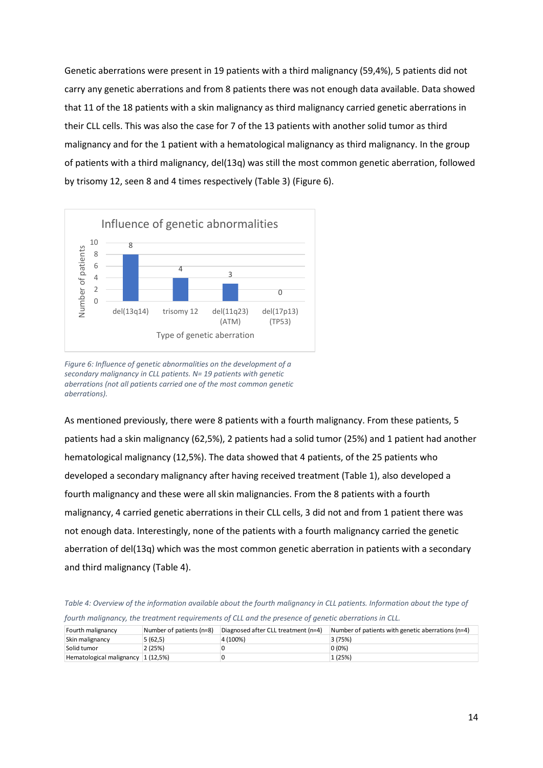Genetic aberrations were present in 19 patients with a third malignancy (59,4%), 5 patients did not carry any genetic aberrations and from 8 patients there was not enough data available. Data showed that 11 of the 18 patients with a skin malignancy as third malignancy carried genetic aberrations in their CLL cells. This was also the case for 7 of the 13 patients with another solid tumor as third malignancy and for the 1 patient with a hematological malignancy as third malignancy. In the group of patients with a third malignancy, del(13q) was still the most common genetic aberration, followed by trisomy 12, seen 8 and 4 times respectively (Table 3) (Figure 6).



*Figure 6: Influence of genetic abnormalities on the development of a secondary malignancy in CLL patients. N= 19 patients with genetic aberrations (not all patients carried one of the most common genetic aberrations).*

As mentioned previously, there were 8 patients with a fourth malignancy. From these patients, 5 patients had a skin malignancy (62,5%), 2 patients had a solid tumor (25%) and 1 patient had another hematological malignancy (12,5%). The data showed that 4 patients, of the 25 patients who developed a secondary malignancy after having received treatment (Table 1), also developed a fourth malignancy and these were all skin malignancies. From the 8 patients with a fourth malignancy, 4 carried genetic aberrations in their CLL cells, 3 did not and from 1 patient there was not enough data. Interestingly, none of the patients with a fourth malignancy carried the genetic aberration of del(13q) which was the most common genetic aberration in patients with a secondary and third malignancy (Table 4).

*Table 4: Overview of the information available about the fourth malignancy in CLL patients. Information about the type of fourth malignancy, the treatment requirements of CLL and the presence of genetic aberrations in CLL.*

| Fourth malignancy                     | Number of patients (n=8) | Diagnosed after CLL treatment (n=4) | Number of patients with genetic aberrations (n=4) |
|---------------------------------------|--------------------------|-------------------------------------|---------------------------------------------------|
| Skin malignancy                       | 5 (62,5)                 | 4 (100%)                            | 3 (75%)                                           |
| Solid tumor                           | 2 (25%)                  |                                     | $0(0\%)$                                          |
| Hematological malignancy $ 1(12,5\%)$ |                          |                                     | 1 (25%)                                           |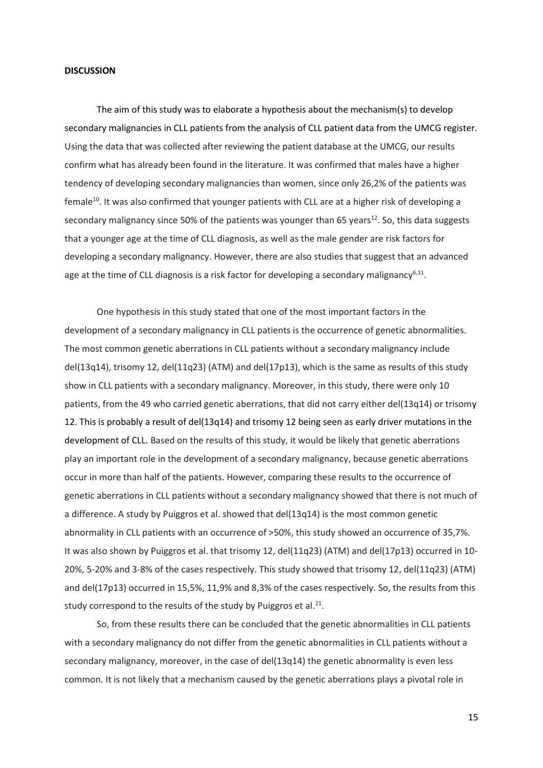#### <span id="page-14-0"></span>**DISCUSSION**

The aim of this study was to elaborate a hypothesis about the mechanism(s) to develop secondary malignancies in CLL patients from the analysis of CLL patient data from the UMCG register. Using the data that was collected after reviewing the patient database at the UMCG, our results confirm what has already been found in the literature. It was confirmed that males have a higher tendency of developing secondary malignancies than women, since only 26,2% of the patients was female<sup>10</sup>. It was also confirmed that younger patients with CLL are at a higher risk of developing a secondary malignancy since 50% of the patients was younger than 65 years<sup>12</sup>. So, this data suggests that a younger age at the time of CLL diagnosis, as well as the male gender are risk factors for developing a secondary malignancy. However, there are also studies that suggest that an advanced age at the time of CLL diagnosis is a risk factor for developing a secondary malignancy<sup>6,11</sup>.

One hypothesis in this study stated that one of the most important factors in the development of a secondary malignancy in CLL patients is the occurrence of genetic abnormalities. The most common genetic aberrations in CLL patients without a secondary malignancy include del(13q14), trisomy 12, del(11q23) (ATM) and del(17p13), which is the same as results of this study show in CLL patients with a secondary malignancy. Moreover, in this study, there were only 10 patients, from the 49 who carried genetic aberrations, that did not carry either del(13q14) or trisomy 12. This is probably a result of del(13q14) and trisomy 12 being seen as early driver mutations in the development of CLL. Based on the results of this study, it would be likely that genetic aberrations play an important role in the development of a secondary malignancy, because genetic aberrations occur in more than half of the patients. However, comparing these results to the occurrence of genetic aberrations in CLL patients without a secondary malignancy showed that there is not much of a difference. A study by Puiggros et al. showed that del(13q14) is the most common genetic abnormality in CLL patients with an occurrence of >50%, this study showed an occurrence of 35,7%. It was also shown by Puiggros et al. that trisomy 12, del(11q23) (ATM) and del(17p13) occurred in 10- 20%, 5-20% and 3-8% of the cases respectively. This study showed that trisomy 12, del(11q23) (ATM) and del(17p13) occurred in 15,5%, 11,9% and 8,3% of the cases respectively. So, the results from this study correspond to the results of the study by Puiggros et al. $^{21}$ .

So, from these results there can be concluded that the genetic abnormalities in CLL patients with a secondary malignancy do not differ from the genetic abnormalities in CLL patients without a secondary malignancy, moreover, in the case of del(13q14) the genetic abnormality is even less common. It is not likely that a mechanism caused by the genetic aberrations plays a pivotal role in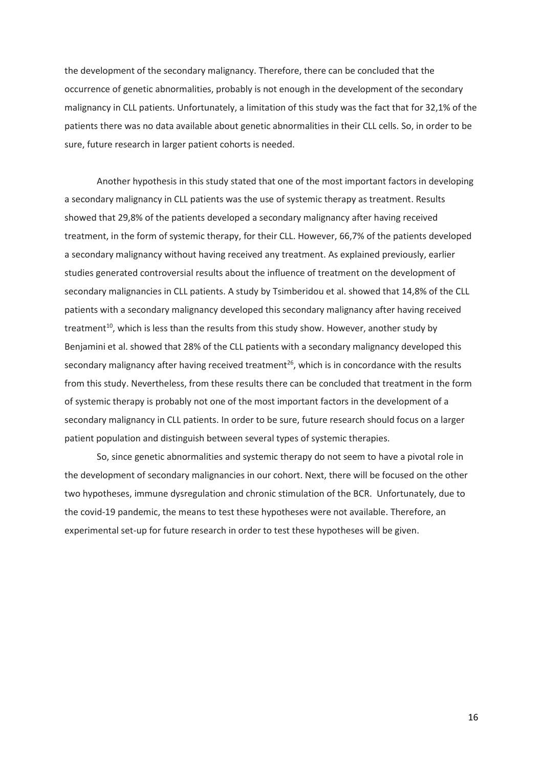the development of the secondary malignancy. Therefore, there can be concluded that the occurrence of genetic abnormalities, probably is not enough in the development of the secondary malignancy in CLL patients. Unfortunately, a limitation of this study was the fact that for 32,1% of the patients there was no data available about genetic abnormalities in their CLL cells. So, in order to be sure, future research in larger patient cohorts is needed.

Another hypothesis in this study stated that one of the most important factors in developing a secondary malignancy in CLL patients was the use of systemic therapy as treatment. Results showed that 29,8% of the patients developed a secondary malignancy after having received treatment, in the form of systemic therapy, for their CLL. However, 66,7% of the patients developed a secondary malignancy without having received any treatment. As explained previously, earlier studies generated controversial results about the influence of treatment on the development of secondary malignancies in CLL patients. A study by Tsimberidou et al. showed that 14,8% of the CLL patients with a secondary malignancy developed this secondary malignancy after having received treatment<sup>10</sup>, which is less than the results from this study show. However, another study by Benjamini et al. showed that 28% of the CLL patients with a secondary malignancy developed this secondary malignancy after having received treatment<sup>26</sup>, which is in concordance with the results from this study. Nevertheless, from these results there can be concluded that treatment in the form of systemic therapy is probably not one of the most important factors in the development of a secondary malignancy in CLL patients. In order to be sure, future research should focus on a larger patient population and distinguish between several types of systemic therapies.

So, since genetic abnormalities and systemic therapy do not seem to have a pivotal role in the development of secondary malignancies in our cohort. Next, there will be focused on the other two hypotheses, immune dysregulation and chronic stimulation of the BCR. Unfortunately, due to the covid-19 pandemic, the means to test these hypotheses were not available. Therefore, an experimental set-up for future research in order to test these hypotheses will be given.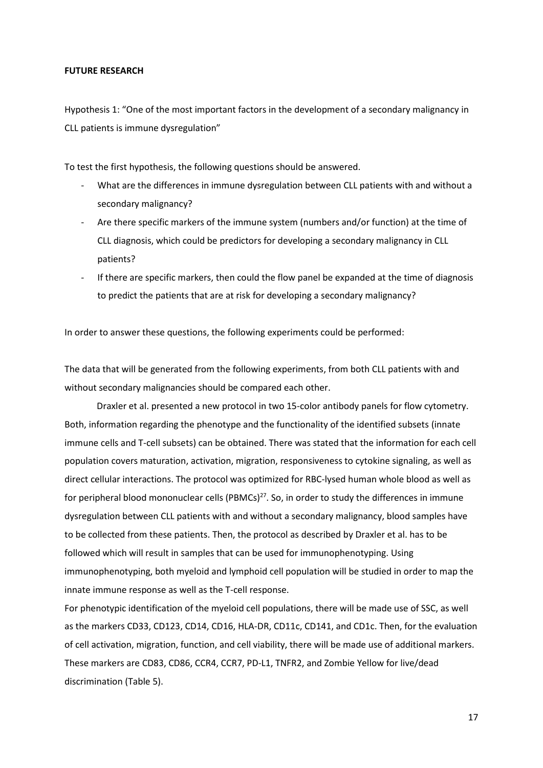#### <span id="page-16-0"></span>**FUTURE RESEARCH**

<span id="page-16-1"></span>Hypothesis 1: "One of the most important factors in the development of a secondary malignancy in CLL patients is immune dysregulation"

To test the first hypothesis, the following questions should be answered.

- What are the differences in immune dysregulation between CLL patients with and without a secondary malignancy?
- Are there specific markers of the immune system (numbers and/or function) at the time of CLL diagnosis, which could be predictors for developing a secondary malignancy in CLL patients?
- If there are specific markers, then could the flow panel be expanded at the time of diagnosis to predict the patients that are at risk for developing a secondary malignancy?

In order to answer these questions, the following experiments could be performed:

The data that will be generated from the following experiments, from both CLL patients with and without secondary malignancies should be compared each other.

Draxler et al. presented a new protocol in two 15-color antibody panels for flow cytometry. Both, information regarding the phenotype and the functionality of the identified subsets (innate immune cells and T-cell subsets) can be obtained. There was stated that the information for each cell population covers maturation, activation, migration, responsiveness to cytokine signaling, as well as direct cellular interactions. The protocol was optimized for RBC-lysed human whole blood as well as for peripheral blood mononuclear cells (PBMCs)<sup>27</sup>. So, in order to study the differences in immune dysregulation between CLL patients with and without a secondary malignancy, blood samples have to be collected from these patients. Then, the protocol as described by Draxler et al. has to be followed which will result in samples that can be used for immunophenotyping. Using immunophenotyping, both myeloid and lymphoid cell population will be studied in order to map the innate immune response as well as the T-cell response.

For phenotypic identification of the myeloid cell populations, there will be made use of SSC, as well as the markers CD33, CD123, CD14, CD16, HLA-DR, CD11c, CD141, and CD1c. Then, for the evaluation of cell activation, migration, function, and cell viability, there will be made use of additional markers. These markers are CD83, CD86, CCR4, CCR7, PD-L1, TNFR2, and Zombie Yellow for live/dead discrimination (Table 5).

17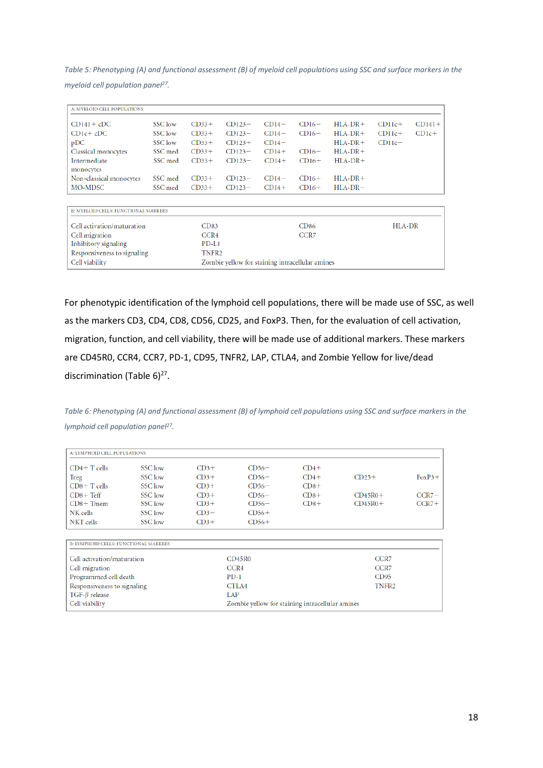*Table 5: Phenotyping (A) and functional assessment (B) of myeloid cell populations using SSC and surface markers in the myeloid cell population panel<sup>27</sup> .*

| A: MYELOID CELL POPULATIONS          |         |                   |                                                 |         |                  |           |          |          |
|--------------------------------------|---------|-------------------|-------------------------------------------------|---------|------------------|-----------|----------|----------|
|                                      |         |                   |                                                 |         |                  |           |          |          |
| $CD141 + cDC$                        | SSC low | $CD33+$           | $CD123-$                                        | $CD14-$ | $CD16-$          | $HLA-DR+$ | $CD11c+$ | $CD141+$ |
| $CDlc+$ <sub>c</sub> $DC$            | SSC low | $CD33+$           | $CD123-$                                        | $CD14-$ | $CD16-$          | $HLA-DR+$ | $CD11c+$ | $CD1c+$  |
| pDC                                  | SSC low | $CD33+$           | $CD123+$                                        | $CD14-$ |                  | $HLA-DR+$ | $CD11c-$ |          |
| Classical monocytes                  | SSC med | $CD33+$           | $CD123-$                                        | $CD14+$ | $CD16-$          | $HLA-DR+$ |          |          |
| Intermediate                         | SSC med | $CD33+$           | $CD123-$                                        | $CD14+$ | $CD16+$          | $HLA-DR+$ |          |          |
| monocytes                            |         |                   |                                                 |         |                  |           |          |          |
| Non-classical monocytes              | SSC med | $CD33+$           | $CD123-$                                        | $CD14-$ | $CD16+$          | $HLA-DR+$ |          |          |
| MO-MDSC                              | SSC med | $CD33+$           | $CD123-$                                        | $CD14+$ | $CD16+$          | $HLA-DR-$ |          |          |
|                                      |         |                   |                                                 |         |                  |           |          |          |
| B: MYELOID CELLS: FUNCTIONAL MARKERS |         |                   |                                                 |         |                  |           |          |          |
| Cell activation/maturation           |         | CD83              |                                                 |         | CD <sub>86</sub> |           | HLA-DR   |          |
| Cell migration                       |         | CCR4              |                                                 |         | CCR <sub>7</sub> |           |          |          |
| Inhibitory signaling                 |         | $PD-L1$           |                                                 |         |                  |           |          |          |
| Responsiveness to signaling          |         | TNFR <sub>2</sub> |                                                 |         |                  |           |          |          |
| Cell viability                       |         |                   | Zombie yellow for staining intracellular amines |         |                  |           |          |          |

For phenotypic identification of the lymphoid cell populations, there will be made use of SSC, as well as the markers CD3, CD4, CD8, CD56, CD25, and FoxP3. Then, for the evaluation of cell activation, migration, function, and cell viability, there will be made use of additional markers. These markers are CD45R0, CCR4, CCR7, PD-1, CD95, TNFR2, LAP, CTLA4, and Zombie Yellow for live/dead discrimination (Table 6)<sup>27</sup>.

*Table 6: Phenotyping (A) and functional assessment (B) of lymphoid cell populations using SSC and surface markers in the lymphoid cell population panel<sup>27</sup> .*

| A: LYMPHOID CELL POPULATIONS                 |                                                 |        |                                      |        |                  |          |  |  |
|----------------------------------------------|-------------------------------------------------|--------|--------------------------------------|--------|------------------|----------|--|--|
| $CD4+T$ cells                                | SSC low                                         | $CD3+$ | $CD56-$                              | $CD4+$ |                  |          |  |  |
| Treg                                         | SSC low                                         | $CD3+$ | $CD56-$                              | $CD4+$ | $CD25+$          | $FoxP3+$ |  |  |
| $CD8 + T$ cells                              | SSC low                                         | $CD3+$ | $CD56-$                              | $CD8+$ |                  |          |  |  |
| $CD8 + Teff$                                 | SSC low                                         | $CD3+$ | $CD56-$                              | $CD8+$ | $CD45R0+$        | $CCR7-$  |  |  |
| $CD8 + T$ mem                                | SSC low                                         | $CD3+$ | $CD56-$                              | $CD8+$ | $CD45R0+$        | $CCR7+$  |  |  |
| NK cells                                     | SSC low                                         | $CD3-$ | $CD56+$                              |        |                  |          |  |  |
| NKT cells                                    | SSC low                                         | $CD3+$ | $CD56+$                              |        |                  |          |  |  |
|                                              |                                                 |        |                                      |        |                  |          |  |  |
| <b>B: LYMPHOID CELLS: FUNCTIONAL MARKERS</b> |                                                 |        |                                      |        |                  |          |  |  |
| Cell activation/maturation                   |                                                 |        | CD45R0                               |        | CCR <sub>7</sub> |          |  |  |
| Cell migration                               |                                                 |        | CCR <sub>4</sub><br>CCR <sub>7</sub> |        |                  |          |  |  |
| Programmed cell death                        |                                                 |        | $PD-1$                               | CD95   |                  |          |  |  |
| Responsiveness to signaling                  |                                                 |        | CTLA4<br>TNFR <sub>2</sub>           |        |                  |          |  |  |
| TGF- $\beta$ release                         | LAP                                             |        |                                      |        |                  |          |  |  |
| Cell viability                               | Zombie yellow for staining intracellular amines |        |                                      |        |                  |          |  |  |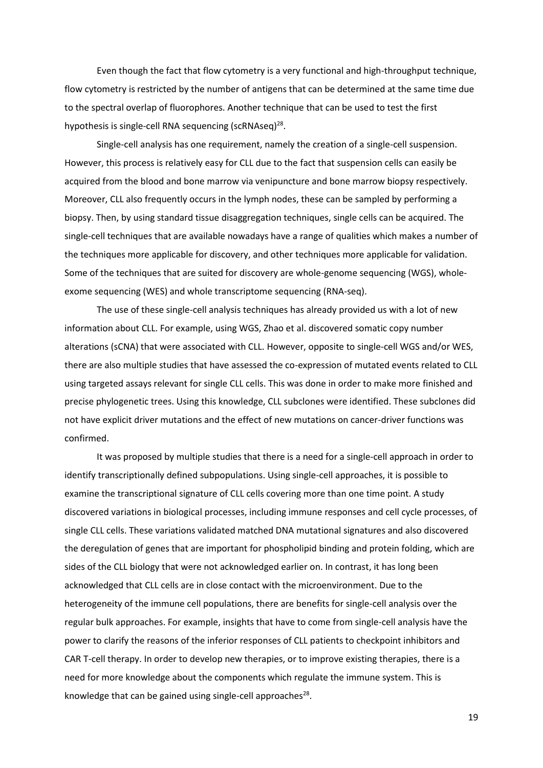Even though the fact that flow cytometry is a very functional and high-throughput technique, flow cytometry is restricted by the number of antigens that can be determined at the same time due to the spectral overlap of fluorophores. Another technique that can be used to test the first hypothesis is single-cell RNA sequencing (scRNAseq)<sup>28</sup>.

Single-cell analysis has one requirement, namely the creation of a single-cell suspension. However, this process is relatively easy for CLL due to the fact that suspension cells can easily be acquired from the blood and bone marrow via venipuncture and bone marrow biopsy respectively. Moreover, CLL also frequently occurs in the lymph nodes, these can be sampled by performing a biopsy. Then, by using standard tissue disaggregation techniques, single cells can be acquired. The single-cell techniques that are available nowadays have a range of qualities which makes a number of the techniques more applicable for discovery, and other techniques more applicable for validation. Some of the techniques that are suited for discovery are whole-genome sequencing (WGS), wholeexome sequencing (WES) and whole transcriptome sequencing (RNA-seq).

The use of these single-cell analysis techniques has already provided us with a lot of new information about CLL. For example, using WGS, Zhao et al. discovered somatic copy number alterations (sCNA) that were associated with CLL. However, opposite to single-cell WGS and/or WES, there are also multiple studies that have assessed the co-expression of mutated events related to CLL using targeted assays relevant for single CLL cells. This was done in order to make more finished and precise phylogenetic trees. Using this knowledge, CLL subclones were identified. These subclones did not have explicit driver mutations and the effect of new mutations on cancer-driver functions was confirmed.

It was proposed by multiple studies that there is a need for a single-cell approach in order to identify transcriptionally defined subpopulations. Using single-cell approaches, it is possible to examine the transcriptional signature of CLL cells covering more than one time point. A study discovered variations in biological processes, including immune responses and cell cycle processes, of single CLL cells. These variations validated matched DNA mutational signatures and also discovered the deregulation of genes that are important for phospholipid binding and protein folding, which are sides of the CLL biology that were not acknowledged earlier on. In contrast, it has long been acknowledged that CLL cells are in close contact with the microenvironment. Due to the heterogeneity of the immune cell populations, there are benefits for single-cell analysis over the regular bulk approaches. For example, insights that have to come from single-cell analysis have the power to clarify the reasons of the inferior responses of CLL patients to checkpoint inhibitors and CAR T-cell therapy. In order to develop new therapies, or to improve existing therapies, there is a need for more knowledge about the components which regulate the immune system. This is knowledge that can be gained using single-cell approaches<sup>28</sup>.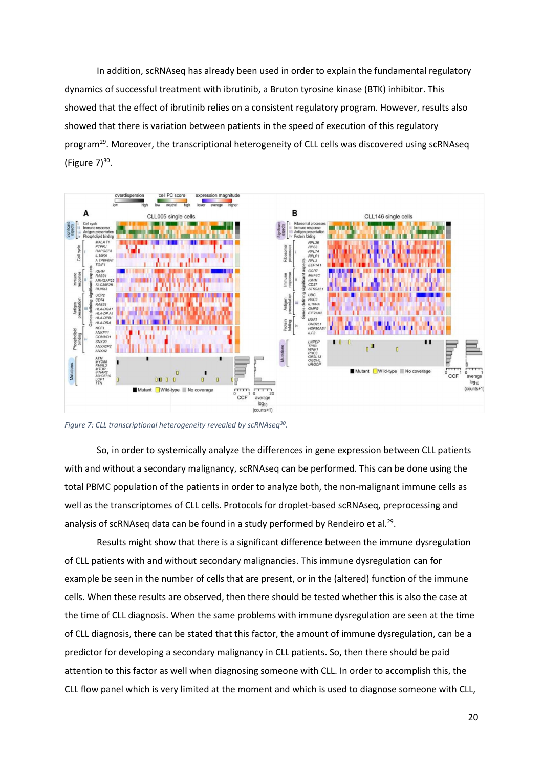In addition, scRNAseq has already been used in order to explain the fundamental regulatory dynamics of successful treatment with ibrutinib, a Bruton tyrosine kinase (BTK) inhibitor. This showed that the effect of ibrutinib relies on a consistent regulatory program. However, results also showed that there is variation between patients in the speed of execution of this regulatory program<sup>29</sup>. Moreover, the transcriptional heterogeneity of CLL cells was discovered using scRNAseq (Figure  $7)^{30}$ .



*Figure 7: CLL transcriptional heterogeneity revealed by scRNAseq<sup>30</sup> .*

So, in order to systemically analyze the differences in gene expression between CLL patients with and without a secondary malignancy, scRNAseq can be performed. This can be done using the total PBMC population of the patients in order to analyze both, the non-malignant immune cells as well as the transcriptomes of CLL cells. Protocols for droplet-based scRNAseq, preprocessing and analysis of scRNAseq data can be found in a study performed by Rendeiro et al.<sup>29</sup>.

Results might show that there is a significant difference between the immune dysregulation of CLL patients with and without secondary malignancies. This immune dysregulation can for example be seen in the number of cells that are present, or in the (altered) function of the immune cells. When these results are observed, then there should be tested whether this is also the case at the time of CLL diagnosis. When the same problems with immune dysregulation are seen at the time of CLL diagnosis, there can be stated that this factor, the amount of immune dysregulation, can be a predictor for developing a secondary malignancy in CLL patients. So, then there should be paid attention to this factor as well when diagnosing someone with CLL. In order to accomplish this, the CLL flow panel which is very limited at the moment and which is used to diagnose someone with CLL,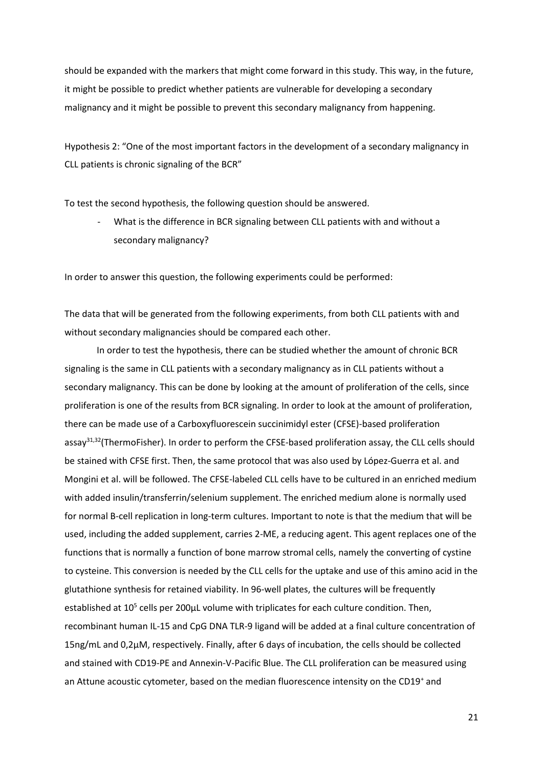should be expanded with the markers that might come forward in this study. This way, in the future, it might be possible to predict whether patients are vulnerable for developing a secondary malignancy and it might be possible to prevent this secondary malignancy from happening.

<span id="page-20-0"></span>Hypothesis 2: "One of the most important factors in the development of a secondary malignancy in CLL patients is chronic signaling of the BCR"

To test the second hypothesis, the following question should be answered.

What is the difference in BCR signaling between CLL patients with and without a secondary malignancy?

In order to answer this question, the following experiments could be performed:

The data that will be generated from the following experiments, from both CLL patients with and without secondary malignancies should be compared each other.

In order to test the hypothesis, there can be studied whether the amount of chronic BCR signaling is the same in CLL patients with a secondary malignancy as in CLL patients without a secondary malignancy. This can be done by looking at the amount of proliferation of the cells, since proliferation is one of the results from BCR signaling. In order to look at the amount of proliferation, there can be made use of a Carboxyfluorescein succinimidyl ester (CFSE)-based proliferation assay<sup>31,32</sup>(ThermoFisher). In order to perform the CFSE-based proliferation assay, the CLL cells should be stained with CFSE first. Then, the same protocol that was also used by López-Guerra et al. and Mongini et al. will be followed. The CFSE-labeled CLL cells have to be cultured in an enriched medium with added insulin/transferrin/selenium supplement. The enriched medium alone is normally used for normal B-cell replication in long-term cultures. Important to note is that the medium that will be used, including the added supplement, carries 2-ME, a reducing agent. This agent replaces one of the functions that is normally a function of bone marrow stromal cells, namely the converting of cystine to cysteine. This conversion is needed by the CLL cells for the uptake and use of this amino acid in the glutathione synthesis for retained viability. In 96-well plates, the cultures will be frequently established at  $10^5$  cells per 200 $\mu$ L volume with triplicates for each culture condition. Then, recombinant human IL-15 and CpG DNA TLR-9 ligand will be added at a final culture concentration of 15ng/mL and 0,2μM, respectively. Finally, after 6 days of incubation, the cells should be collected and stained with CD19-PE and Annexin-V-Pacific Blue. The CLL proliferation can be measured using an Attune acoustic cytometer, based on the median fluorescence intensity on the CD19<sup>+</sup> and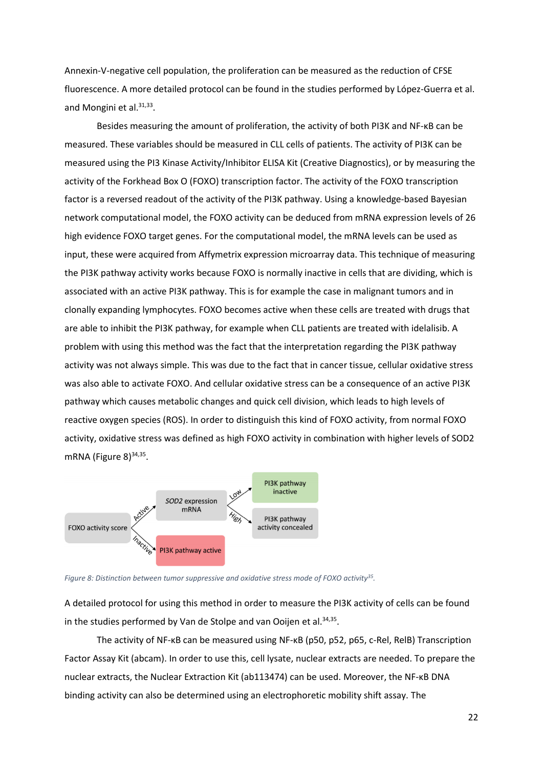Annexin-V-negative cell population, the proliferation can be measured as the reduction of CFSE fluorescence. A more detailed protocol can be found in the studies performed by López-Guerra et al. and Mongini et al.<sup>31,33</sup>.

Besides measuring the amount of proliferation, the activity of both PI3K and NF-κB can be measured. These variables should be measured in CLL cells of patients. The activity of PI3K can be measured using the PI3 Kinase Activity/Inhibitor ELISA Kit (Creative Diagnostics), or by measuring the activity of the Forkhead Box O (FOXO) transcription factor. The activity of the FOXO transcription factor is a reversed readout of the activity of the PI3K pathway. Using a knowledge-based Bayesian network computational model, the FOXO activity can be deduced from mRNA expression levels of 26 high evidence FOXO target genes. For the computational model, the mRNA levels can be used as input, these were acquired from Affymetrix expression microarray data. This technique of measuring the PI3K pathway activity works because FOXO is normally inactive in cells that are dividing, which is associated with an active PI3K pathway. This is for example the case in malignant tumors and in clonally expanding lymphocytes. FOXO becomes active when these cells are treated with drugs that are able to inhibit the PI3K pathway, for example when CLL patients are treated with idelalisib. A problem with using this method was the fact that the interpretation regarding the PI3K pathway activity was not always simple. This was due to the fact that in cancer tissue, cellular oxidative stress was also able to activate FOXO. And cellular oxidative stress can be a consequence of an active PI3K pathway which causes metabolic changes and quick cell division, which leads to high levels of reactive oxygen species (ROS). In order to distinguish this kind of FOXO activity, from normal FOXO activity, oxidative stress was defined as high FOXO activity in combination with higher levels of SOD2 mRNA (Figure 8)<sup>34,35</sup>.



*Figure 8: Distinction between tumor suppressive and oxidative stress mode of FOXO activity<sup>35</sup> .*

A detailed protocol for using this method in order to measure the PI3K activity of cells can be found in the studies performed by Van de Stolpe and van Ooijen et al.<sup>34,35</sup>.

The activity of NF-κB can be measured using NF-κB (p50, p52, p65, c-Rel, RelB) Transcription Factor Assay Kit (abcam). In order to use this, cell lysate, nuclear extracts are needed. To prepare the nuclear extracts, the Nuclear Extraction Kit (ab113474) can be used. Moreover, the NF-κB DNA binding activity can also be determined using an electrophoretic mobility shift assay. The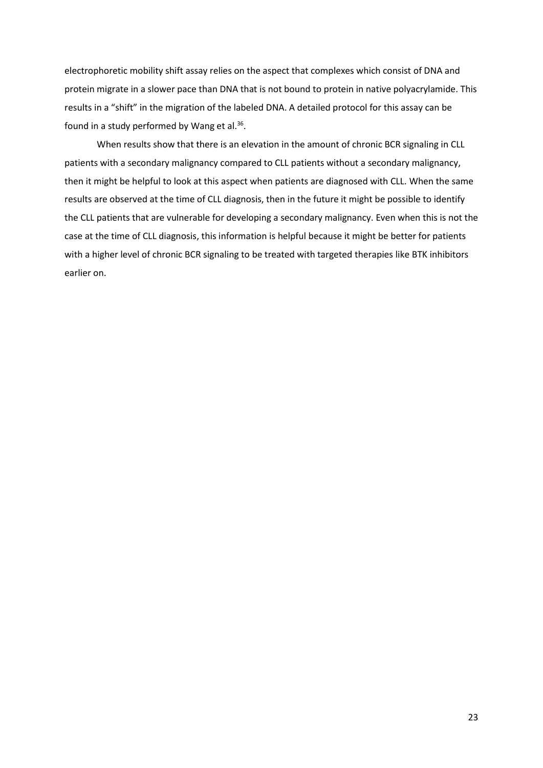electrophoretic mobility shift assay relies on the aspect that complexes which consist of DNA and protein migrate in a slower pace than DNA that is not bound to protein in native polyacrylamide. This results in a "shift" in the migration of the labeled DNA. A detailed protocol for this assay can be found in a study performed by Wang et al.<sup>36</sup>.

When results show that there is an elevation in the amount of chronic BCR signaling in CLL patients with a secondary malignancy compared to CLL patients without a secondary malignancy, then it might be helpful to look at this aspect when patients are diagnosed with CLL. When the same results are observed at the time of CLL diagnosis, then in the future it might be possible to identify the CLL patients that are vulnerable for developing a secondary malignancy. Even when this is not the case at the time of CLL diagnosis, this information is helpful because it might be better for patients with a higher level of chronic BCR signaling to be treated with targeted therapies like BTK inhibitors earlier on.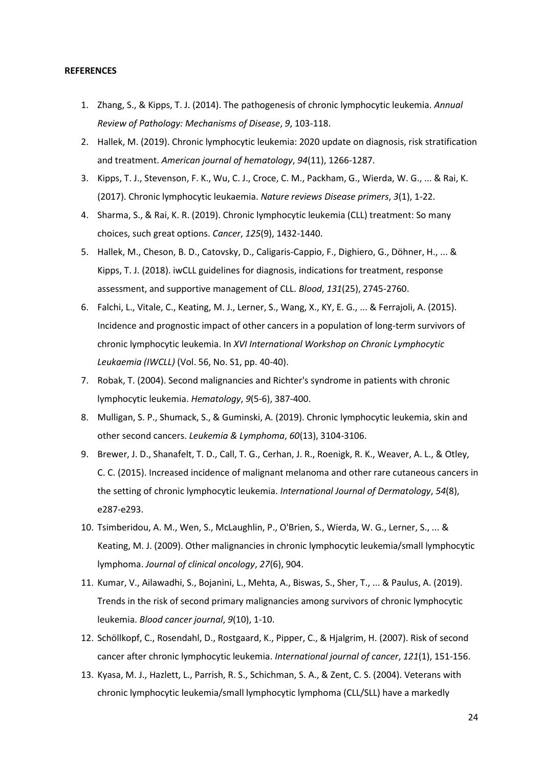#### <span id="page-23-0"></span>**REFERENCES**

- 1. Zhang, S., & Kipps, T. J. (2014). The pathogenesis of chronic lymphocytic leukemia. *Annual Review of Pathology: Mechanisms of Disease*, *9*, 103-118.
- 2. Hallek, M. (2019). Chronic lymphocytic leukemia: 2020 update on diagnosis, risk stratification and treatment. *American journal of hematology*, *94*(11), 1266-1287.
- 3. Kipps, T. J., Stevenson, F. K., Wu, C. J., Croce, C. M., Packham, G., Wierda, W. G., ... & Rai, K. (2017). Chronic lymphocytic leukaemia. *Nature reviews Disease primers*, *3*(1), 1-22.
- 4. Sharma, S., & Rai, K. R. (2019). Chronic lymphocytic leukemia (CLL) treatment: So many choices, such great options. *Cancer*, *125*(9), 1432-1440.
- 5. Hallek, M., Cheson, B. D., Catovsky, D., Caligaris-Cappio, F., Dighiero, G., Döhner, H., ... & Kipps, T. J. (2018). iwCLL guidelines for diagnosis, indications for treatment, response assessment, and supportive management of CLL. *Blood*, *131*(25), 2745-2760.
- 6. Falchi, L., Vitale, C., Keating, M. J., Lerner, S., Wang, X., KY, E. G., ... & Ferrajoli, A. (2015). Incidence and prognostic impact of other cancers in a population of long-term survivors of chronic lymphocytic leukemia. In *XVI International Workshop on Chronic Lymphocytic Leukaemia (IWCLL)* (Vol. 56, No. S1, pp. 40-40).
- 7. Robak, T. (2004). Second malignancies and Richter's syndrome in patients with chronic lymphocytic leukemia. *Hematology*, *9*(5-6), 387-400.
- 8. Mulligan, S. P., Shumack, S., & Guminski, A. (2019). Chronic lymphocytic leukemia, skin and other second cancers. *Leukemia & Lymphoma*, *60*(13), 3104-3106.
- 9. Brewer, J. D., Shanafelt, T. D., Call, T. G., Cerhan, J. R., Roenigk, R. K., Weaver, A. L., & Otley, C. C. (2015). Increased incidence of malignant melanoma and other rare cutaneous cancers in the setting of chronic lymphocytic leukemia. *International Journal of Dermatology*, *54*(8), e287-e293.
- 10. Tsimberidou, A. M., Wen, S., McLaughlin, P., O'Brien, S., Wierda, W. G., Lerner, S., ... & Keating, M. J. (2009). Other malignancies in chronic lymphocytic leukemia/small lymphocytic lymphoma. *Journal of clinical oncology*, *27*(6), 904.
- 11. Kumar, V., Ailawadhi, S., Bojanini, L., Mehta, A., Biswas, S., Sher, T., ... & Paulus, A. (2019). Trends in the risk of second primary malignancies among survivors of chronic lymphocytic leukemia. *Blood cancer journal*, *9*(10), 1-10.
- 12. Schöllkopf, C., Rosendahl, D., Rostgaard, K., Pipper, C., & Hjalgrim, H. (2007). Risk of second cancer after chronic lymphocytic leukemia. *International journal of cancer*, *121*(1), 151-156.
- 13. Kyasa, M. J., Hazlett, L., Parrish, R. S., Schichman, S. A., & Zent, C. S. (2004). Veterans with chronic lymphocytic leukemia/small lymphocytic lymphoma (CLL/SLL) have a markedly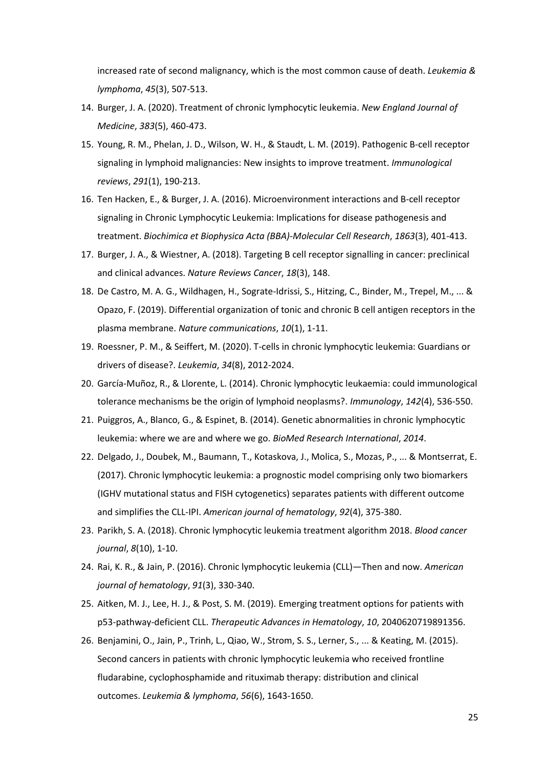increased rate of second malignancy, which is the most common cause of death. *Leukemia & lymphoma*, *45*(3), 507-513.

- 14. Burger, J. A. (2020). Treatment of chronic lymphocytic leukemia. *New England Journal of Medicine*, *383*(5), 460-473.
- 15. Young, R. M., Phelan, J. D., Wilson, W. H., & Staudt, L. M. (2019). Pathogenic B-cell receptor signaling in lymphoid malignancies: New insights to improve treatment. *Immunological reviews*, *291*(1), 190-213.
- 16. Ten Hacken, E., & Burger, J. A. (2016). Microenvironment interactions and B-cell receptor signaling in Chronic Lymphocytic Leukemia: Implications for disease pathogenesis and treatment. *Biochimica et Biophysica Acta (BBA)-Molecular Cell Research*, *1863*(3), 401-413.
- 17. Burger, J. A., & Wiestner, A. (2018). Targeting B cell receptor signalling in cancer: preclinical and clinical advances. *Nature Reviews Cancer*, *18*(3), 148.
- 18. De Castro, M. A. G., Wildhagen, H., Sograte-Idrissi, S., Hitzing, C., Binder, M., Trepel, M., ... & Opazo, F. (2019). Differential organization of tonic and chronic B cell antigen receptors in the plasma membrane. *Nature communications*, *10*(1), 1-11.
- 19. Roessner, P. M., & Seiffert, M. (2020). T-cells in chronic lymphocytic leukemia: Guardians or drivers of disease?. *Leukemia*, *34*(8), 2012-2024.
- 20. García‐Muñoz, R., & Llorente, L. (2014). Chronic lymphocytic leukaemia: could immunological tolerance mechanisms be the origin of lymphoid neoplasms?. *Immunology*, *142*(4), 536-550.
- 21. Puiggros, A., Blanco, G., & Espinet, B. (2014). Genetic abnormalities in chronic lymphocytic leukemia: where we are and where we go. *BioMed Research International*, *2014*.
- 22. Delgado, J., Doubek, M., Baumann, T., Kotaskova, J., Molica, S., Mozas, P., ... & Montserrat, E. (2017). Chronic lymphocytic leukemia: a prognostic model comprising only two biomarkers (IGHV mutational status and FISH cytogenetics) separates patients with different outcome and simplifies the CLL‐IPI. *American journal of hematology*, *92*(4), 375-380.
- 23. Parikh, S. A. (2018). Chronic lymphocytic leukemia treatment algorithm 2018. *Blood cancer journal*, *8*(10), 1-10.
- 24. Rai, K. R., & Jain, P. (2016). Chronic lymphocytic leukemia (CLL)—Then and now. *American journal of hematology*, *91*(3), 330-340.
- 25. Aitken, M. J., Lee, H. J., & Post, S. M. (2019). Emerging treatment options for patients with p53-pathway-deficient CLL. *Therapeutic Advances in Hematology*, *10*, 2040620719891356.
- 26. Benjamini, O., Jain, P., Trinh, L., Qiao, W., Strom, S. S., Lerner, S., ... & Keating, M. (2015). Second cancers in patients with chronic lymphocytic leukemia who received frontline fludarabine, cyclophosphamide and rituximab therapy: distribution and clinical outcomes. *Leukemia & lymphoma*, *56*(6), 1643-1650.